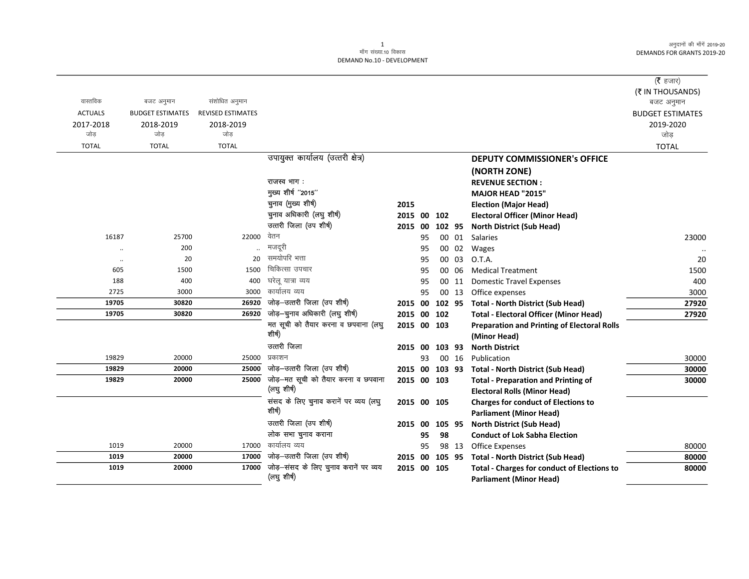|                      |                         |                          |                                       |             |     |        |       |                                                    | (र हजार)                |
|----------------------|-------------------------|--------------------------|---------------------------------------|-------------|-----|--------|-------|----------------------------------------------------|-------------------------|
|                      |                         |                          |                                       |             |     |        |       |                                                    | (₹ IN THOUSANDS)        |
| वास्तविक             | बजट अनुमान              | संशोधित अनुमान           |                                       |             |     |        |       |                                                    | बजट अनुमान              |
| <b>ACTUALS</b>       | <b>BUDGET ESTIMATES</b> | <b>REVISED ESTIMATES</b> |                                       |             |     |        |       |                                                    | <b>BUDGET ESTIMATES</b> |
| 2017-2018            | 2018-2019               | 2018-2019                |                                       |             |     |        |       |                                                    | 2019-2020               |
| जोड                  | जोड                     | जोड                      |                                       |             |     |        |       |                                                    | जोड                     |
| <b>TOTAL</b>         | <b>TOTAL</b>            | <b>TOTAL</b>             |                                       |             |     |        |       |                                                    | <b>TOTAL</b>            |
|                      |                         |                          | उपायुक्त कार्यालय (उत्तरी क्षेत्र)    |             |     |        |       | <b>DEPUTY COMMISSIONER's OFFICE</b>                |                         |
|                      |                         |                          |                                       |             |     |        |       | (NORTH ZONE)                                       |                         |
|                      |                         |                          | राजस्व भाग:                           |             |     |        |       | <b>REVENUE SECTION:</b>                            |                         |
|                      |                         |                          | मुख्य शीर्ष "2015"                    |             |     |        |       | <b>MAJOR HEAD "2015"</b>                           |                         |
|                      |                         |                          | चुनाव (मुख्य शीर्ष)                   | 2015        |     |        |       | <b>Election (Major Head)</b>                       |                         |
|                      |                         |                          | चुनाव अधिकारी (लघु शीर्ष)             | 2015 00     |     | 102    |       | <b>Electoral Officer (Minor Head)</b>              |                         |
|                      |                         |                          | उत्तरी जिला (उप शीर्ष)                | 2015 00     |     | 102 95 |       | <b>North District (Sub Head)</b>                   |                         |
| 16187                | 25700                   | 22000                    | वेतन                                  |             | 95  |        | 00 01 | Salaries                                           | 23000                   |
| $\ddotsc$            | 200                     |                          | मजदूरी                                |             | 95  |        | 00 02 | Wages                                              |                         |
| $\ddot{\phantom{0}}$ | 20                      | 20                       | समयोपरि भत्ता                         |             | 95  | 00 03  |       | O.T.A.                                             | 20                      |
| 605                  | 1500                    | 1500                     | चिकित्सा उपचार                        |             | 95  | 00 06  |       | <b>Medical Treatment</b>                           | 1500                    |
| 188                  | 400                     | 400                      | घरेल यात्रा व्यय                      |             | 95  | 00 11  |       | <b>Domestic Travel Expenses</b>                    | 400                     |
| 2725                 | 3000                    | 3000                     | कार्यालय व्यय                         |             | 95  | 00 13  |       | Office expenses                                    | 3000                    |
| 19705                | 30820                   | 26920                    | जोड़-उत्तरी जिला (उप शीर्ष)           | 2015 00     |     | 102 95 |       | <b>Total - North District (Sub Head)</b>           | 27920                   |
| 19705                | 30820                   | 26920                    | जोड़-चुनाव अधिकारी (लघु शीर्ष)        | 2015 00     |     | 102    |       | <b>Total - Electoral Officer (Minor Head)</b>      | 27920                   |
|                      |                         |                          | मत सूची को तैयार करना व छपवाना (लघु   | 2015 00 103 |     |        |       | <b>Preparation and Printing of Electoral Rolls</b> |                         |
|                      |                         |                          | शीर्ष)                                |             |     |        |       | (Minor Head)                                       |                         |
|                      |                         |                          | उत्तरी जिला                           | 2015        | -00 | 103 93 |       | <b>North District</b>                              |                         |
| 19829                | 20000                   | 25000                    | प्रकाशन                               |             | 93  |        | 00 16 | Publication                                        | 30000                   |
| 19829                | 20000                   | 25000                    | जोड़-उत्तरी जिला (उप शीर्ष)           | 2015 00     |     | 103 93 |       | <b>Total - North District (Sub Head)</b>           | 30000                   |
| 19829                | 20000                   | 25000                    | जोड़—मत सूची को तैयार करना व छपवाना   | 2015 00 103 |     |        |       | <b>Total - Preparation and Printing of</b>         | 30000                   |
|                      |                         |                          | (लघु शीर्ष)                           |             |     |        |       | <b>Electoral Rolls (Minor Head)</b>                |                         |
|                      |                         |                          | संसद के लिए चुनाव करानें पर व्यय (लघु | 2015 00 105 |     |        |       | <b>Charges for conduct of Elections to</b>         |                         |
|                      |                         |                          | शीर्ष)                                |             |     |        |       | <b>Parliament (Minor Head)</b>                     |                         |
|                      |                         |                          | उत्तरी जिला (उप शीर्ष)                | 2015        | 00  | 105 95 |       | <b>North District (Sub Head)</b>                   |                         |
|                      |                         |                          | लोक सभा चुनाव कराना                   |             | 95  | 98     |       | <b>Conduct of Lok Sabha Election</b>               |                         |
| 1019                 | 20000                   | 17000                    | कार्यालय व्यय                         |             | 95  |        | 98 13 | Office Expenses                                    | 80000                   |
| 1019                 | 20000                   | 17000                    | जोड़-उत्तरी जिला (उप शीर्ष)           | 2015 00     |     | 105 95 |       | <b>Total - North District (Sub Head)</b>           | 80000                   |
| 1019                 | 20000                   | 17000                    | जोड़-संसद के लिए चुनाव करानें पर व्यय | 2015 00 105 |     |        |       | <b>Total - Charges for conduct of Elections to</b> | 80000                   |
|                      |                         |                          | (लघु शीर्ष)                           |             |     |        |       | <b>Parliament (Minor Head)</b>                     |                         |
|                      |                         |                          |                                       |             |     |        |       |                                                    |                         |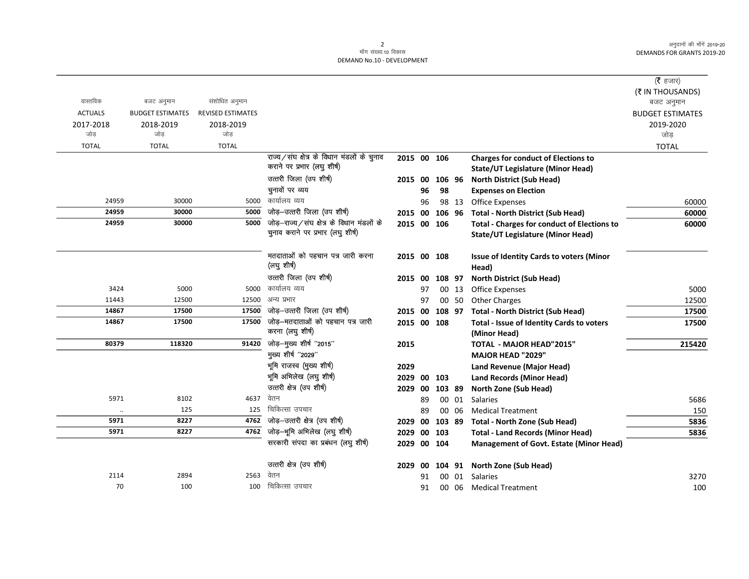|                |                         |                          |                                                  |             |    |        |       |                                                    | ( <b>रै</b> हजार)       |
|----------------|-------------------------|--------------------------|--------------------------------------------------|-------------|----|--------|-------|----------------------------------------------------|-------------------------|
|                |                         |                          |                                                  |             |    |        |       |                                                    | (₹ IN THOUSANDS)        |
| वास्तविक       | बजट अनुमान              | संशोधित अनुमान           |                                                  |             |    |        |       |                                                    | बजट अनुमान              |
| <b>ACTUALS</b> | <b>BUDGET ESTIMATES</b> | <b>REVISED ESTIMATES</b> |                                                  |             |    |        |       |                                                    | <b>BUDGET ESTIMATES</b> |
| 2017-2018      | 2018-2019               | 2018-2019                |                                                  |             |    |        |       |                                                    | 2019-2020               |
| जोड़           | जोड                     | जोड                      |                                                  |             |    |        |       |                                                    | जोड                     |
| <b>TOTAL</b>   | <b>TOTAL</b>            | <b>TOTAL</b>             |                                                  |             |    |        |       |                                                    | <b>TOTAL</b>            |
|                |                         |                          | राज्य/संघ क्षेत्र के विधान मंडलों के चुनाव       | 2015 00 106 |    |        |       | <b>Charges for conduct of Elections to</b>         |                         |
|                |                         |                          | कराने पर प्रभार (लघु शीर्ष)                      |             |    |        |       | <b>State/UT Legislature (Minor Head)</b>           |                         |
|                |                         |                          | उत्तरी जिला (उप शीर्ष)                           | 2015 00     |    | 106 96 |       | <b>North District (Sub Head)</b>                   |                         |
|                |                         |                          | चुनावों पर व्यय                                  |             | 96 | 98     |       | <b>Expenses on Election</b>                        |                         |
| 24959          | 30000                   | 5000                     | कार्यालय व्यय                                    |             | 96 |        | 98 13 | Office Expenses                                    | 60000                   |
| 24959          | 30000                   | 5000                     | जोड़-उत्तरी जिला (उप शीर्ष)                      | 2015 00     |    | 106 96 |       | <b>Total - North District (Sub Head)</b>           | 60000                   |
| 24959          | 30000                   | 5000                     | जोड़-राज्य/संघ क्षेत्र के विधान मंडलों के        | 2015 00 106 |    |        |       | <b>Total - Charges for conduct of Elections to</b> | 60000                   |
|                |                         |                          | चुनाव कराने पर प्रभार (लघु शीर्ष)                |             |    |        |       | <b>State/UT Legislature (Minor Head)</b>           |                         |
|                |                         |                          | मतदाताओं को पहचान पत्र जारी करना                 | 2015 00 108 |    |        |       | Issue of Identity Cards to voters (Minor           |                         |
|                |                         |                          | (लघु शीर्ष)                                      |             |    |        |       | Head)                                              |                         |
|                |                         |                          | उत्तरी जिला (उप शीर्ष)                           | 2015 00     |    | 108 97 |       | <b>North District (Sub Head)</b>                   |                         |
| 3424           | 5000                    | 5000                     | कार्यालय व्यय                                    |             | 97 |        | 00 13 | <b>Office Expenses</b>                             | 5000                    |
| 11443          | 12500                   | 12500                    | अन्य प्रभार                                      |             | 97 |        | 00 50 | <b>Other Charges</b>                               | 12500                   |
| 14867          | 17500                   | 17500                    | जोड़-उत्तरी जिला (उप शीर्ष)                      | 2015 00     |    | 108 97 |       | <b>Total - North District (Sub Head)</b>           | 17500                   |
| 14867          | 17500                   | 17500                    | जोड़—मतदाताओं को पहचान पत्र जारी                 | 2015 00 108 |    |        |       | Total - Issue of Identity Cards to voters          | 17500                   |
|                |                         |                          | करना (लघु शीर्ष)                                 |             |    |        |       | (Minor Head)                                       |                         |
| 80379          | 118320                  | 91420                    | जोड़-मुख्य शीर्ष "2015"                          | 2015        |    |        |       | TOTAL - MAJOR HEAD"2015"                           | 215420                  |
|                |                         |                          | मुख्य शीर्ष "2029"                               |             |    |        |       | MAJOR HEAD "2029"                                  |                         |
|                |                         |                          | भूमि राजस्व (मुख्य शीर्ष)                        | 2029        |    |        |       | Land Revenue (Major Head)                          |                         |
|                |                         |                          | भूमि अभिलेख (लघु शीर्ष)                          | 2029 00 103 |    |        |       | <b>Land Records (Minor Head)</b>                   |                         |
|                |                         |                          | उत्तरी क्षेत्र (उप शीर्ष)                        | 2029 00     |    | 103 89 |       | North Zone (Sub Head)                              |                         |
| 5971           | 8102                    | 4637                     | वेतन                                             |             | 89 |        | 00 01 | <b>Salaries</b>                                    | 5686                    |
| $\ldots$       | 125                     | 125                      | चिकित्सा उपचार                                   |             | 89 |        | 00 06 | <b>Medical Treatment</b>                           | 150                     |
| 5971           | 8227                    |                          | $\overline{4762}$ जोड़-उत्तरी क्षेत्र (उप शीर्ष) | 2029 00     |    | 103 89 |       | Total - North Zone (Sub Head)                      | 5836                    |
| 5971           | 8227                    |                          | 4762 जोड़-भूमि अभिलेख (लघु शीर्ष)                | 2029 00 103 |    |        |       | <b>Total - Land Records (Minor Head)</b>           | 5836                    |
|                |                         |                          | सरकारी संपदा का प्रबंधन (लघु शीर्ष)              | 2029 00 104 |    |        |       | <b>Management of Govt. Estate (Minor Head)</b>     |                         |
|                |                         |                          | उत्तरी क्षेत्र (उप शीर्ष)                        | 2029 00     |    |        |       | 104 91 North Zone (Sub Head)                       |                         |
| 2114           | 2894                    | 2563                     | वेतन                                             |             | 91 | 00     | 01    | Salaries                                           | 3270                    |
| 70             | 100                     | 100                      | चिकित्सा उपचार                                   |             | 91 | 00     |       | 06 Medical Treatment                               | 100                     |
|                |                         |                          |                                                  |             |    |        |       |                                                    |                         |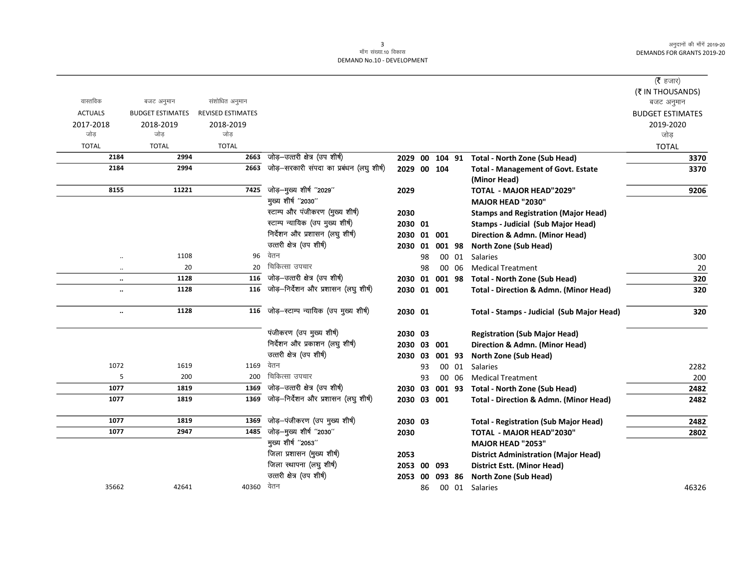|                      |                         |                          |                                          |             |    |        |       |                                                   | (रै हजार)               |
|----------------------|-------------------------|--------------------------|------------------------------------------|-------------|----|--------|-------|---------------------------------------------------|-------------------------|
|                      |                         |                          |                                          |             |    |        |       |                                                   | (₹ IN THOUSANDS)        |
| वास्तविक             | बजट अनुमान              | संशोधित अनुमान           |                                          |             |    |        |       |                                                   | बजट अनुमान              |
| <b>ACTUALS</b>       | <b>BUDGET ESTIMATES</b> | <b>REVISED ESTIMATES</b> |                                          |             |    |        |       |                                                   | <b>BUDGET ESTIMATES</b> |
| 2017-2018            | 2018-2019               | 2018-2019                |                                          |             |    |        |       |                                                   | 2019-2020               |
| जोड़                 | जोड़                    | जोड़                     |                                          |             |    |        |       |                                                   | जोड                     |
| <b>TOTAL</b>         | <b>TOTAL</b>            | <b>TOTAL</b>             |                                          |             |    |        |       |                                                   | <b>TOTAL</b>            |
| 2184                 | 2994                    | 2663                     | जोड़-उत्तरी क्षेत्र (उप शीर्ष)           |             |    |        |       | 2029 00 104 91 Total - North Zone (Sub Head)      | 3370                    |
| 2184                 | 2994                    | 2663                     | जोड़-सरकारी संपदा का प्रबंधन (लघु शीर्ष) | 2029 00 104 |    |        |       | <b>Total - Management of Govt. Estate</b>         | 3370                    |
|                      |                         |                          |                                          |             |    |        |       | (Minor Head)                                      |                         |
| 8155                 | 11221                   | 7425                     | जोड़-मुख्य शीर्ष "2029"                  | 2029        |    |        |       | <b>TOTAL - MAJOR HEAD"2029"</b>                   | 9206                    |
|                      |                         |                          | मुख्य शीर्ष "2030"                       |             |    |        |       | <b>MAJOR HEAD "2030"</b>                          |                         |
|                      |                         |                          | स्टाम्प और पंजीकरण (मुख्य शीर्ष)         | 2030        |    |        |       | <b>Stamps and Registration (Major Head)</b>       |                         |
|                      |                         |                          | स्टाम्प न्यायिक (उप मुख्य शीर्ष)         | 2030 01     |    |        |       | <b>Stamps - Judicial (Sub Major Head)</b>         |                         |
|                      |                         |                          | निर्देशन और प्रशासन (लघु शीर्ष)          | 2030 01 001 |    |        |       | Direction & Admn. (Minor Head)                    |                         |
|                      |                         |                          | उत्तरी क्षेत्र (उप शीर्ष)                | 2030 01     |    | 001 98 |       | North Zone (Sub Head)                             |                         |
| $\ddotsc$            | 1108                    | 96                       | वेतन                                     |             | 98 |        | 00 01 | Salaries                                          | 300                     |
| $\ddot{\phantom{a}}$ | 20                      | 20                       | चिकित्सा उपचार                           |             | 98 |        | 00 06 | <b>Medical Treatment</b>                          | 20                      |
| $\ddotsc$            | 1128                    | 116                      | जोड़-उत्तरी क्षेत्र (उप शीर्ष)           | 2030 01     |    |        |       | 001 98 Total - North Zone (Sub Head)              | 320                     |
| $\ddot{\phantom{a}}$ | 1128                    | 116                      | जोड़-निर्देशन और प्रशासन (लघु शीर्ष)     | 2030 01 001 |    |        |       | Total - Direction & Admn. (Minor Head)            | 320                     |
|                      |                         |                          |                                          |             |    |        |       |                                                   |                         |
| $\ddot{\phantom{0}}$ | 1128                    | 116                      | जोड़-स्टाम्प न्यायिक (उप मुख्य शीर्ष)    | 2030 01     |    |        |       | Total - Stamps - Judicial (Sub Major Head)        | 320                     |
|                      |                         |                          | पंजीकरण (उप मुख्य शीर्ष)                 |             |    |        |       |                                                   |                         |
|                      |                         |                          | निर्देशन और प्रकाशन (लघु शीर्ष)          | 2030 03     |    |        |       | <b>Registration (Sub Major Head)</b>              |                         |
|                      |                         |                          | उत्तरी क्षेत्र (उप शीर्ष)                | 2030 03 001 |    |        |       | Direction & Admn. (Minor Head)                    |                         |
| 1072                 |                         |                          | वेतन                                     | 2030 03     |    | 001 93 |       | <b>North Zone (Sub Head)</b>                      |                         |
| 5                    | 1619                    | 1169                     | चिकित्सा उपचार                           |             | 93 |        | 00 01 | Salaries                                          | 2282                    |
| 1077                 | 200                     | 200                      | जोड़-उत्तरी क्षेत्र (उप शीर्ष)           |             | 93 |        | 00 06 | <b>Medical Treatment</b>                          | 200                     |
|                      | 1819                    | 1369                     | जोड़-निर्देशन और प्रशासन (लघु शीर्ष)     | 2030 03     |    | 001 93 |       | <b>Total - North Zone (Sub Head)</b>              | 2482                    |
| 1077                 | 1819                    | 1369                     |                                          | 2030 03 001 |    |        |       | <b>Total - Direction &amp; Admn. (Minor Head)</b> | 2482                    |
| 1077                 | 1819                    | 1369                     | जोड़-पंजीकरण (उप मुख्य शीर्ष)            | 2030 03     |    |        |       | <b>Total - Registration (Sub Major Head)</b>      | 2482                    |
| 1077                 | 2947                    | 1485                     | जोड़-मुख्य शीर्ष "2030"                  | 2030        |    |        |       | <b>TOTAL - MAJOR HEAD"2030"</b>                   | 2802                    |
|                      |                         |                          | मुख्य शीर्ष "2053"                       |             |    |        |       | <b>MAJOR HEAD "2053"</b>                          |                         |
|                      |                         |                          | जिला प्रशासन (मुख्य शीर्ष)               | 2053        |    |        |       | <b>District Administration (Major Head)</b>       |                         |
|                      |                         |                          | जिला स्थापना (लघु शीर्ष)                 | 2053 00     |    | 093    |       | <b>District Estt. (Minor Head)</b>                |                         |
|                      |                         |                          | उत्तरी क्षेत्र (उप शीर्ष)                | 2053        | 00 | 093 86 |       | <b>North Zone (Sub Head)</b>                      |                         |
| 35662                | 42641                   | 40360 वेतन               |                                          |             | 86 |        |       | 00 01 Salaries                                    | 46326                   |
|                      |                         |                          |                                          |             |    |        |       |                                                   |                         |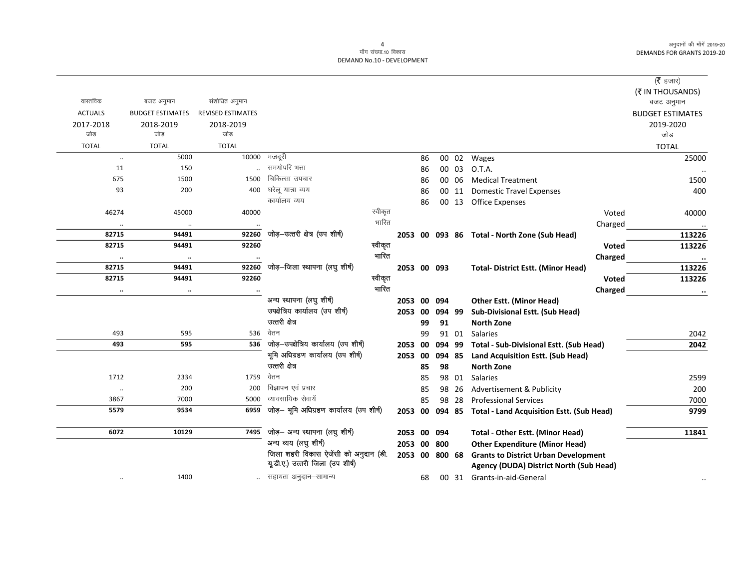$\overline{\phantom{0}}$ 

|                |                         |                          |                                          |         |                |    |        |       |                                                  |         | ( $\bar{\tau}$ हजार)    |
|----------------|-------------------------|--------------------------|------------------------------------------|---------|----------------|----|--------|-------|--------------------------------------------------|---------|-------------------------|
|                |                         |                          |                                          |         |                |    |        |       |                                                  |         | (₹ IN THOUSANDS)        |
| वास्तविक       | बजट अनुमान              | संशोधित अनुमान           |                                          |         |                |    |        |       |                                                  |         | बजट अनुमान              |
| <b>ACTUALS</b> | <b>BUDGET ESTIMATES</b> | <b>REVISED ESTIMATES</b> |                                          |         |                |    |        |       |                                                  |         | <b>BUDGET ESTIMATES</b> |
| 2017-2018      | 2018-2019               | 2018-2019                |                                          |         |                |    |        |       |                                                  |         | 2019-2020               |
| जोड            | जोड                     | जोड                      |                                          |         |                |    |        |       |                                                  |         | जोड़                    |
| <b>TOTAL</b>   | <b>TOTAL</b>            | <b>TOTAL</b>             |                                          |         |                |    |        |       |                                                  |         | <b>TOTAL</b>            |
| $\ldots$       | 5000                    | 10000                    | मजदूरी                                   |         |                | 86 |        | 00 02 | Wages                                            |         | 25000                   |
| 11             | 150                     |                          | समयोपरि भत्ता                            |         |                | 86 |        | 00 03 | O.T.A.                                           |         |                         |
| 675            | 1500                    | 1500                     | चिकित्सा उपचार                           |         |                | 86 |        | 00 06 | <b>Medical Treatment</b>                         |         | 1500                    |
| 93             | 200                     | 400                      | घरेलू यात्रा व्यय                        |         |                | 86 |        | 00 11 | <b>Domestic Travel Expenses</b>                  |         | 400                     |
|                |                         |                          | कार्यालय व्यय                            |         |                | 86 |        |       | 00 13 Office Expenses                            |         |                         |
| 46274          | 45000                   | 40000                    |                                          | स्वीकृत |                |    |        |       |                                                  | Voted   | 40000                   |
|                | $\ldots$                |                          |                                          | भारित   |                |    |        |       |                                                  | Charged |                         |
| 82715          | 94491                   | 92260                    | जोड़—उत्तरी क्षेत्र (उप शीर्ष)           |         |                |    |        |       | 2053 00 093 86 Total - North Zone (Sub Head)     |         | 113226                  |
| 82715          | 94491                   | 92260                    |                                          | स्वीकृत |                |    |        |       |                                                  | Voted   | 113226                  |
| $\ddotsc$      | $\ldots$                |                          |                                          | भारित   |                |    |        |       |                                                  | Charged | $\cdot\cdot$            |
| 82715          | 94491                   | 92260                    | जोड़–जिला स्थापना (लघु शीर्ष)            |         | 2053 00 093    |    |        |       | <b>Total- District Estt. (Minor Head)</b>        |         | 113226                  |
| 82715          | 94491                   | 92260                    |                                          | स्वीकृत |                |    |        |       |                                                  | Voted   | 113226                  |
| $\ldots$       | $\ddotsc$               | $\cdots$                 |                                          | भारित   |                |    |        |       |                                                  | Charged | $\ddotsc$               |
|                |                         |                          | अन्य स्थापना (लघु शीर्ष)                 |         | 2053 00        |    | 094    |       | <b>Other Estt. (Minor Head)</b>                  |         |                         |
|                |                         |                          | उपक्षेत्रिय कार्यालय (उप शीर्ष)          |         | 2053           | 00 | 094 99 |       | Sub-Divisional Estt. (Sub Head)                  |         |                         |
|                |                         |                          | उत्तरी क्षेत्र                           |         |                | 99 | 91     |       | <b>North Zone</b>                                |         |                         |
| 493            | 595                     | 536                      | वेतन                                     |         |                | 99 |        | 91 01 | Salaries                                         |         | 2042                    |
| 493            | 595                     |                          | 536 जोड़-उपक्षेत्रिय कार्यालय (उप शीर्ष) |         | 2053 00        |    | 094 99 |       | <b>Total - Sub-Divisional Estt. (Sub Head)</b>   |         | 2042                    |
|                |                         |                          | भूमि अधिग्रहण कार्यालय (उप शीर्ष)        |         | 2053 00        |    | 094 85 |       | Land Acquisition Estt. (Sub Head)                |         |                         |
|                |                         |                          | उत्तरी क्षेत्र                           |         |                | 85 | 98     |       | <b>North Zone</b>                                |         |                         |
| 1712           | 2334                    | 1759                     | वेतन                                     |         |                | 85 |        | 98 01 | Salaries                                         |         | 2599                    |
| $\ldots$       | 200                     | 200                      | विज्ञापन एवं प्रचार                      |         |                | 85 |        | 98 26 | Advertisement & Publicity                        |         | 200                     |
| 3867           | 7000                    | 5000                     | व्यावसायिक सेवायें                       |         |                | 85 | 98     | -28   | <b>Professional Services</b>                     |         | 7000                    |
| 5579           | 9534                    | 6959                     | जोड़- भूमि अधिग्रहण कार्यालय (उप शीर्ष)  |         | 2053 00        |    | 094 85 |       | <b>Total - Land Acquisition Estt. (Sub Head)</b> |         | 9799                    |
| 6072           | 10129                   | 7495                     | जोड़— अन्य स्थापना (लघु शीर्ष)           |         | 2053 00        |    | 094    |       | <b>Total - Other Estt. (Minor Head)</b>          |         | 11841                   |
|                |                         |                          | अन्य व्यय (लघु शीर्ष)                    |         | 2053 00 800    |    |        |       | <b>Other Expenditure (Minor Head)</b>            |         |                         |
|                |                         |                          | जिला शहरी विकास ऐजेंसी को अनुदान (डी.    |         | 2053 00 800 68 |    |        |       | <b>Grants to District Urban Development</b>      |         |                         |
|                |                         |                          | यूडी.ए.) उत्तरी जिला (उप शीर्ष)          |         |                |    |        |       | Agency (DUDA) District North (Sub Head)          |         |                         |
|                | 1400                    |                          | सहायता अनुदान–सामान्य                    |         |                | 68 |        |       | 00 31 Grants-in-aid-General                      |         |                         |
|                |                         |                          |                                          |         |                |    |        |       |                                                  |         |                         |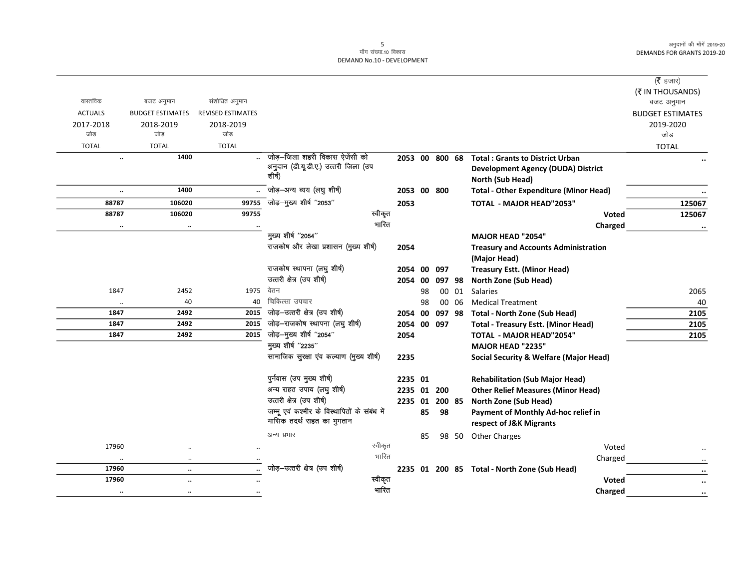|                      |                         |                          |                                              |                |    |                |       |                                                   | ( $\bar{\tau}$ हजार)           |
|----------------------|-------------------------|--------------------------|----------------------------------------------|----------------|----|----------------|-------|---------------------------------------------------|--------------------------------|
| वास्तविक             | बजट अनुमान              | संशोधित अनुमान           |                                              |                |    |                |       |                                                   | (₹ IN THOUSANDS)<br>बजट अनुमान |
| <b>ACTUALS</b>       | <b>BUDGET ESTIMATES</b> | <b>REVISED ESTIMATES</b> |                                              |                |    |                |       |                                                   | <b>BUDGET ESTIMATES</b>        |
| 2017-2018            | 2018-2019               | 2018-2019                |                                              |                |    |                |       |                                                   | 2019-2020                      |
| जोड                  | जोड                     | जोड़                     |                                              |                |    |                |       |                                                   | जोड                            |
| <b>TOTAL</b>         | <b>TOTAL</b>            | <b>TOTAL</b>             |                                              |                |    |                |       |                                                   | <b>TOTAL</b>                   |
| $\ddot{\phantom{a}}$ | 1400                    |                          | जोड़–जिला शहरी विकास ऐजेंसी को               | 2053 00 800 68 |    |                |       | <b>Total: Grants to District Urban</b>            |                                |
|                      |                         |                          | अनुदान (डी.यू.डी.ए.) उत्तरी जिला (उप         |                |    |                |       | <b>Development Agency (DUDA) District</b>         |                                |
|                      |                         |                          | शीर्ष)                                       |                |    |                |       | <b>North (Sub Head)</b>                           |                                |
| $\ddotsc$            | 1400                    |                          | जोड़-अन्य व्यय (लघु शीर्ष)                   |                |    | 2053 00 800    |       | <b>Total - Other Expenditure (Minor Head)</b>     |                                |
| 88787                | 106020                  |                          | 99755 जोड़-मुख्य शीर्ष "2053"                | 2053           |    |                |       | <b>TOTAL - MAJOR HEAD"2053"</b>                   | 125067                         |
| 88787                | 106020                  | 99755                    | स्वीकृत                                      |                |    |                |       | Voted                                             | 125067                         |
| $\ldots$             | $\ldots$                |                          | भारित                                        |                |    |                |       | Charged                                           |                                |
|                      |                         |                          | मुख्य शीर्ष "2054"                           |                |    |                |       | <b>MAJOR HEAD "2054"</b>                          |                                |
|                      |                         |                          | राजकोष और लेखा प्रशासन (मुख्य शीर्ष)         | 2054           |    |                |       | <b>Treasury and Accounts Administration</b>       |                                |
|                      |                         |                          |                                              |                |    |                |       | (Major Head)                                      |                                |
|                      |                         |                          | राजकोष स्थापना (लघु शीर्ष)                   | 2054           | 00 | 097            |       | <b>Treasury Estt. (Minor Head)</b>                |                                |
|                      |                         |                          | उत्तरी क्षेत्र (उप शीर्ष)                    | 2054           | 00 | 097 98         |       | North Zone (Sub Head)                             |                                |
| 1847                 | 2452                    | 1975                     | वेतन                                         |                | 98 |                | 00 01 | <b>Salaries</b>                                   | 2065                           |
| $\ddot{\phantom{a}}$ | 40                      | 40                       | चिकित्सा उपचार                               |                | 98 |                | 00 06 | <b>Medical Treatment</b>                          | 40                             |
| 1847                 | 2492                    | 2015                     | जोड़-उत्तरी क्षेत्र (उप शीर्ष)               |                |    | 2054 00 097 98 |       | <b>Total - North Zone (Sub Head)</b>              | 2105                           |
| 1847                 | 2492                    | 2015                     | जोड़-राजकोष स्थापना (लघु शीर्ष)              | 2054 00 097    |    |                |       | <b>Total - Treasury Estt. (Minor Head)</b>        | 2105                           |
| 1847                 | 2492                    | 2015                     | जोड़-मुख्य शीर्ष "2054"                      | 2054           |    |                |       | <b>TOTAL - MAJOR HEAD"2054"</b>                   | 2105                           |
|                      |                         |                          | मुख्य शीर्ष "2235"                           |                |    |                |       | <b>MAJOR HEAD "2235"</b>                          |                                |
|                      |                         |                          | सामाजिक सुरक्षा एव कल्याण (मुख्य शीर्ष)      | 2235           |    |                |       | <b>Social Security &amp; Welfare (Major Head)</b> |                                |
|                      |                         |                          | पुर्नवास (उप मुख्य शीर्ष)                    | 2235 01        |    |                |       | <b>Rehabilitation (Sub Major Head)</b>            |                                |
|                      |                         |                          | अन्य राहत उपाय (लघु शीर्ष)                   |                |    | 2235 01 200    |       | <b>Other Relief Measures (Minor Head)</b>         |                                |
|                      |                         |                          | उत्तरी क्षेत्र (उप शीर्ष)                    | 2235 01 200 85 |    |                |       | North Zone (Sub Head)                             |                                |
|                      |                         |                          | जम्मू एवं कश्मीर के विस्थापितों के संबंध में |                | 85 | 98             |       | Payment of Monthly Ad-hoc relief in               |                                |
|                      |                         |                          | मासिक तदर्थ राहत का भुगतान                   |                |    |                |       | respect of J&K Migrants                           |                                |
|                      |                         |                          | अन्य प्रभार                                  |                | 85 |                | 98 50 | <b>Other Charges</b>                              |                                |
| 17960                | $\ddot{\phantom{a}}$    |                          | स्वीकृत                                      |                |    |                |       | Voted                                             |                                |
| $\ddotsc$            | $\ddot{\phantom{a}}$    |                          | भारित                                        |                |    |                |       | Charged                                           |                                |
| 17960                | $\ldots$                |                          | जोड़-उत्तरी क्षेत्र (उप शीर्ष)               |                |    |                |       | 2235 01 200 85 Total - North Zone (Sub Head)      | $\ddot{\phantom{0}}$           |
| 17960                | $\ddot{\phantom{a}}$    |                          | स्वीकृत                                      |                |    |                |       | Voted                                             | $\cdot\cdot$                   |
| $\cdots$             | $\ddotsc$               |                          | भारित                                        |                |    |                |       | <b>Charged</b>                                    | $\cdot \cdot$                  |